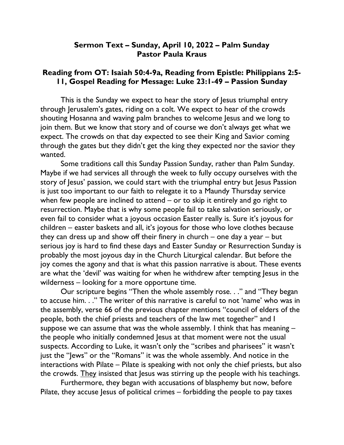## Sermon Text – Sunday, April 10, 2022 – Palm Sunday Pastor Paula Kraus

## Reading from OT: Isaiah 50:4-9a, Reading from Epistle: Philippians 2:5- 11, Gospel Reading for Message: Luke 23:1-49 – Passion Sunday

This is the Sunday we expect to hear the story of Jesus triumphal entry through Jerusalem's gates, riding on a colt. We expect to hear of the crowds shouting Hosanna and waving palm branches to welcome Jesus and we long to join them. But we know that story and of course we don't always get what we expect. The crowds on that day expected to see their King and Savior coming through the gates but they didn't get the king they expected nor the savior they wanted.

Some traditions call this Sunday Passion Sunday, rather than Palm Sunday. Maybe if we had services all through the week to fully occupy ourselves with the story of Jesus' passion, we could start with the triumphal entry but Jesus Passion is just too important to our faith to relegate it to a Maundy Thursday service when few people are inclined to attend – or to skip it entirely and go right to resurrection. Maybe that is why some people fail to take salvation seriously, or even fail to consider what a joyous occasion Easter really is. Sure it's joyous for children – easter baskets and all, it's joyous for those who love clothes because they can dress up and show off their finery in church – one day a year – but serious joy is hard to find these days and Easter Sunday or Resurrection Sunday is probably the most joyous day in the Church Liturgical calendar. But before the joy comes the agony and that is what this passion narrative is about. These events are what the 'devil' was waiting for when he withdrew after tempting Jesus in the wilderness – looking for a more opportune time.

Our scripture begins "Then the whole assembly rose. . ." and "They began to accuse him. . ." The writer of this narrative is careful to not 'name' who was in the assembly, verse 66 of the previous chapter mentions "council of elders of the people, both the chief priests and teachers of the law met together" and I suppose we can assume that was the whole assembly. I think that has meaning – the people who initially condemned Jesus at that moment were not the usual suspects. According to Luke, it wasn't only the "scribes and pharisees" it wasn't just the "Jews" or the "Romans" it was the whole assembly. And notice in the interactions with Pilate – Pilate is speaking with not only the chief priests, but also the crowds. They insisted that Jesus was stirring up the people with his teachings.

Furthermore, they began with accusations of blasphemy but now, before Pilate, they accuse Jesus of political crimes – forbidding the people to pay taxes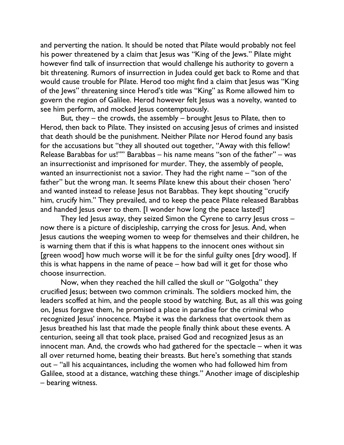and perverting the nation. It should be noted that Pilate would probably not feel his power threatened by a claim that Jesus was "King of the Jews." Pilate might however find talk of insurrection that would challenge his authority to govern a bit threatening. Rumors of insurrection in Judea could get back to Rome and that would cause trouble for Pilate. Herod too might find a claim that Jesus was "King of the Jews" threatening since Herod's title was "King" as Rome allowed him to govern the region of Galilee. Herod however felt Jesus was a novelty, wanted to see him perform, and mocked lesus contemptuously.

But, they – the crowds, the assembly – brought Jesus to Pilate, then to Herod, then back to Pilate. They insisted on accusing Jesus of crimes and insisted that death should be the punishment. Neither Pilate nor Herod found any basis for the accusations but "they all shouted out together, "Away with this fellow! Release Barabbas for us!"" Barabbas – his name means "son of the father" – was an insurrectionist and imprisoned for murder. They, the assembly of people, wanted an insurrectionist not a savior. They had the right name – "son of the father" but the wrong man. It seems Pilate knew this about their chosen 'hero' and wanted instead to release Jesus not Barabbas. They kept shouting "crucify him, crucify him." They prevailed, and to keep the peace Pilate released Barabbas and handed Jesus over to them. [I wonder how long the peace lasted!]

They led Jesus away, they seized Simon the Cyrene to carry Jesus cross – now there is a picture of discipleship, carrying the cross for Jesus. And, when Jesus cautions the weeping women to weep for themselves and their children, he is warning them that if this is what happens to the innocent ones without sin [green wood] how much worse will it be for the sinful guilty ones [dry wood]. If this is what happens in the name of peace – how bad will it get for those who choose insurrection.

Now, when they reached the hill called the skull or "Golgotha" they crucified Jesus; between two common criminals. The soldiers mocked him, the leaders scoffed at him, and the people stood by watching. But, as all this was going on, Jesus forgave them, he promised a place in paradise for the criminal who recognized Jesus' innocence. Maybe it was the darkness that overtook them as Jesus breathed his last that made the people finally think about these events. A centurion, seeing all that took place, praised God and recognized Jesus as an innocent man. And, the crowds who had gathered for the spectacle – when it was all over returned home, beating their breasts. But here's something that stands out – "all his acquaintances, including the women who had followed him from Galilee, stood at a distance, watching these things." Another image of discipleship – bearing witness.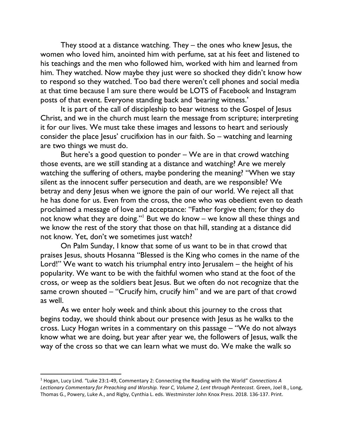They stood at a distance watching. They – the ones who knew Jesus, the women who loved him, anointed him with perfume, sat at his feet and listened to his teachings and the men who followed him, worked with him and learned from him. They watched. Now maybe they just were so shocked they didn't know how to respond so they watched. Too bad there weren't cell phones and social media at that time because I am sure there would be LOTS of Facebook and Instagram posts of that event. Everyone standing back and 'bearing witness.'

It is part of the call of discipleship to bear witness to the Gospel of Jesus Christ, and we in the church must learn the message from scripture; interpreting it for our lives. We must take these images and lessons to heart and seriously consider the place Jesus' crucifixion has in our faith. So – watching and learning are two things we must do.

But here's a good question to ponder – We are in that crowd watching those events, are we still standing at a distance and watching? Are we merely watching the suffering of others, maybe pondering the meaning? "When we stay silent as the innocent suffer persecution and death, are we responsible? We betray and deny Jesus when we ignore the pain of our world. We reject all that he has done for us. Even from the cross, the one who was obedient even to death proclaimed a message of love and acceptance: "Father forgive them; for they do not know what they are doing."<sup>1</sup> But we do know – we know all these things and we know the rest of the story that those on that hill, standing at a distance did not know. Yet, don't we sometimes just watch?

On Palm Sunday, I know that some of us want to be in that crowd that praises Jesus, shouts Hosanna "Blessed is the King who comes in the name of the Lord!" We want to watch his triumphal entry into Jerusalem – the height of his popularity. We want to be with the faithful women who stand at the foot of the cross, or weep as the soldiers beat Jesus. But we often do not recognize that the same crown shouted – "Crucify him, crucify him" and we are part of that crowd as well.

As we enter holy week and think about this journey to the cross that begins today, we should think about our presence with Jesus as he walks to the cross. Lucy Hogan writes in a commentary on this passage – "We do not always know what we are doing, but year after year we, the followers of Jesus, walk the way of the cross so that we can learn what we must do. We make the walk so

<sup>&</sup>lt;sup>1</sup> Hogan, Lucy Lind. "Luke 23:1-49, Commentary 2: Connecting the Reading with the World" Connections A Lectionary Commentary for Preaching and Worship. Year C, Volume 2, Lent through Pentecost. Green, Joel B., Long, Thomas G., Powery, Luke A., and Rigby, Cynthia L. eds. Westminster John Knox Press. 2018. 136-137. Print.